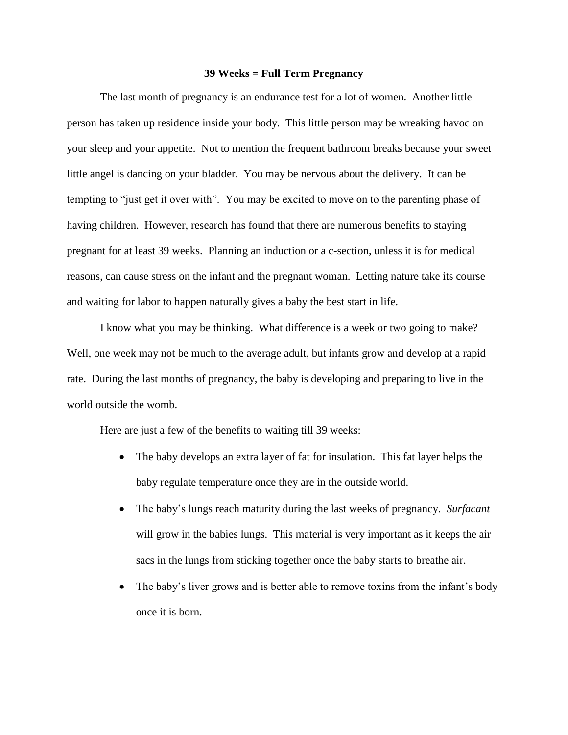## **39 Weeks = Full Term Pregnancy**

The last month of pregnancy is an endurance test for a lot of women. Another little person has taken up residence inside your body. This little person may be wreaking havoc on your sleep and your appetite. Not to mention the frequent bathroom breaks because your sweet little angel is dancing on your bladder. You may be nervous about the delivery. It can be tempting to "just get it over with". You may be excited to move on to the parenting phase of having children. However, research has found that there are numerous benefits to staying pregnant for at least 39 weeks. Planning an induction or a c-section, unless it is for medical reasons, can cause stress on the infant and the pregnant woman. Letting nature take its course and waiting for labor to happen naturally gives a baby the best start in life.

I know what you may be thinking. What difference is a week or two going to make? Well, one week may not be much to the average adult, but infants grow and develop at a rapid rate. During the last months of pregnancy, the baby is developing and preparing to live in the world outside the womb.

Here are just a few of the benefits to waiting till 39 weeks:

- The baby develops an extra layer of fat for insulation. This fat layer helps the baby regulate temperature once they are in the outside world.
- The baby's lungs reach maturity during the last weeks of pregnancy. *Surfacant* will grow in the babies lungs. This material is very important as it keeps the air sacs in the lungs from sticking together once the baby starts to breathe air.
- The baby's liver grows and is better able to remove toxins from the infant's body once it is born.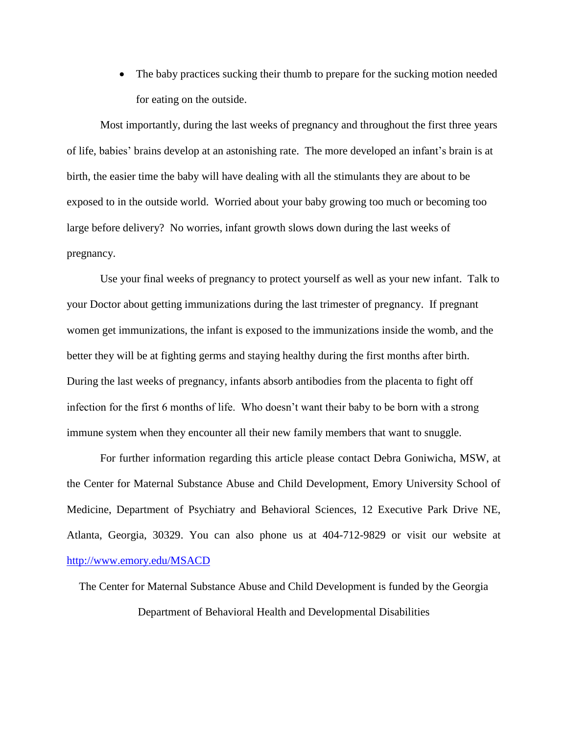The baby practices sucking their thumb to prepare for the sucking motion needed for eating on the outside.

Most importantly, during the last weeks of pregnancy and throughout the first three years of life, babies' brains develop at an astonishing rate. The more developed an infant's brain is at birth, the easier time the baby will have dealing with all the stimulants they are about to be exposed to in the outside world. Worried about your baby growing too much or becoming too large before delivery? No worries, infant growth slows down during the last weeks of pregnancy.

Use your final weeks of pregnancy to protect yourself as well as your new infant. Talk to your Doctor about getting immunizations during the last trimester of pregnancy. If pregnant women get immunizations, the infant is exposed to the immunizations inside the womb, and the better they will be at fighting germs and staying healthy during the first months after birth. During the last weeks of pregnancy, infants absorb antibodies from the placenta to fight off infection for the first 6 months of life. Who doesn't want their baby to be born with a strong immune system when they encounter all their new family members that want to snuggle.

For further information regarding this article please contact Debra Goniwicha, MSW, at the Center for Maternal Substance Abuse and Child Development, Emory University School of Medicine, Department of Psychiatry and Behavioral Sciences, 12 Executive Park Drive NE, Atlanta, Georgia, 30329. You can also phone us at 404-712-9829 or visit our website at <http://www.emory.edu/MSACD>

The Center for Maternal Substance Abuse and Child Development is funded by the Georgia Department of Behavioral Health and Developmental Disabilities